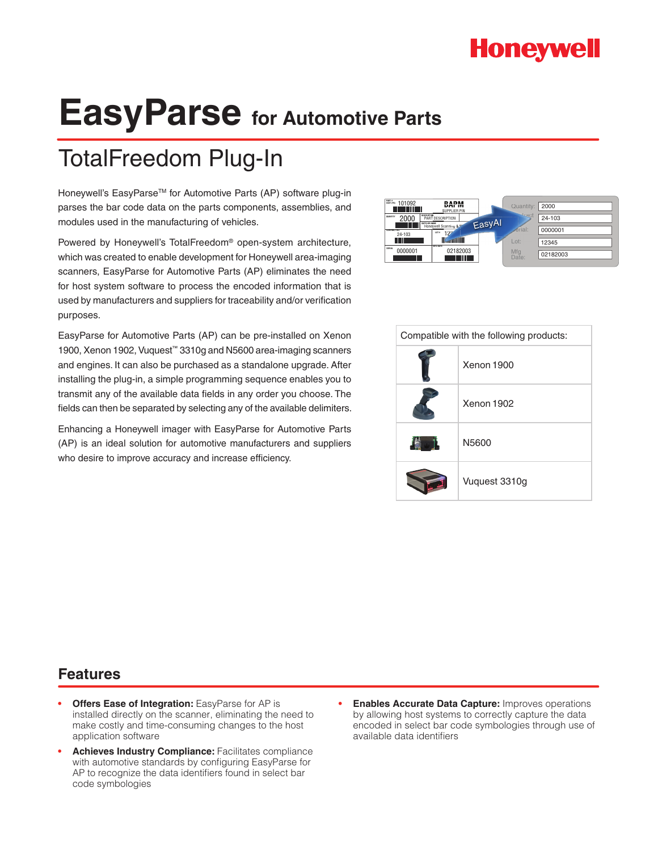# **Honeywell**

# **EasyParse for Automotive Parts**

# TotalFreedom Plug-In

Honeywell's EasyParse™ for Automotive Parts (AP) software plug-in parses the bar code data on the parts components, assemblies, and modules used in the manufacturing of vehicles.

Powered by Honeywell's TotalFreedom® open-system architecture, which was created to enable development for Honeywell area-imaging scanners, EasyParse for Automotive Parts (AP) eliminates the need for host system software to process the encoded information that is used by manufacturers and suppliers for traceability and/or verification purposes.

EasyParse for Automotive Parts (AP) can be pre-installed on Xenon 1900, Xenon 1902, Vuquest™ 3310g and N5600 area-imaging scanners and engines. It can also be purchased as a standalone upgrade. After installing the plug-in, a simple programming sequence enables you to transmit any of the available data fields in any order you choose. The fields can then be separated by selecting any of the available delimiters.

Enhancing a Honeywell imager with EasyParse for Automotive Parts (AP) is an ideal solution for automotive manufacturers and suppliers who desire to improve accuracy and increase efficiency.



| Compatible with the following products: |               |  |  |  |  |  |  |
|-----------------------------------------|---------------|--|--|--|--|--|--|
|                                         | Xenon 1900    |  |  |  |  |  |  |
|                                         | Xenon 1902    |  |  |  |  |  |  |
| 6                                       | N5600         |  |  |  |  |  |  |
|                                         | Vuquest 3310g |  |  |  |  |  |  |

### **Features**

- **• Offers Ease of Integration:** EasyParse for AP is installed directly on the scanner, eliminating the need to make costly and time-consuming changes to the host application software
- **Achieves Industry Compliance:** Facilitates compliance with automotive standards by configuring EasyParse for AP to recognize the data identifiers found in select bar code symbologies
- **Enables Accurate Data Capture:** Improves operations by allowing host systems to correctly capture the data encoded in select bar code symbologies through use of available data identifiers